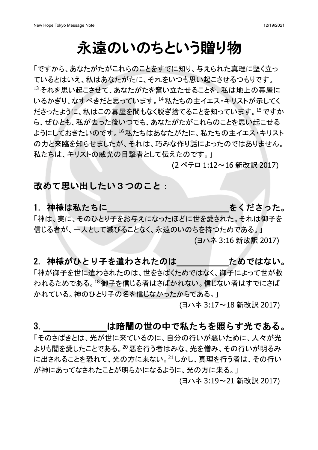# 永遠のいのちという贈り物

「ですから、あなたがたがこれらのことをすでに知り、与えられた真理に堅く立っ ているとはいえ、私はあなたがたに、それをいつも思い起こさせるつもりです。 13 それを思い起こさせて、あなたがたを奮い立たせることを、私は地上の幕屋に いるかぎり、なすべきだと思っています。14私たちの主イエス・キリストが示してく ださったように、私はこの幕屋を間もなく脱ぎ捨てることを知っています。<sup>15</sup> ですか ら、ぜひとも、私が去った後いつでも、あなたがたがこれらのことを思い起こせる ようにしておきたいのです。<sup>16</sup>私たちはあなたがたに、私たちの主イエス・キリスト の力と来臨を知らせましたが、それは、巧みな作り話によったのではありません。 私たちは、キリストの威光の目撃者として伝えたのです。」

(2 ペテロ 1:12~16 新改訳 2017)

### 改めて思い出したい3つのこと:

### 1. 神様は私たちに そんじゅつ きくださった。

「神は、実に、そのひとり子をお与えになったほどに世を愛された。それは御子を 信じる者が、一人として滅びることなく、永遠のいのちを持つためである。」 (ヨハネ 3:16 新改訳 2017)

#### 2. 神様がひとり子を遣わされたのは ためではない。

「神が御子を世に遣わされたのは、世をさばくためではなく、御子によって世が救 われるためである。<sup>18</sup>御子を信じる者はさばかれない。信じない者はすでにさば かれている。神のひとり子の名を信じなかったからである。」

(ヨハネ 3:17~18 新改訳 2017)

### 3. は暗闇の世の中で私たちを照らす光である。

「そのさばきとは、光が世に来ているのに、自分の行いが悪いために、人々が光 よりも闇を愛したことである。<sup>20</sup>悪を行う者はみな、光を憎み、その行いが明るみ に出されることを恐れて、光の方に来ない。<sup>21</sup>しかし、真理を行う者は、その行い が神にあってなされたことが明らかになるように、光の方に来る。」

(ヨハネ 3:19~21 新改訳 2017)